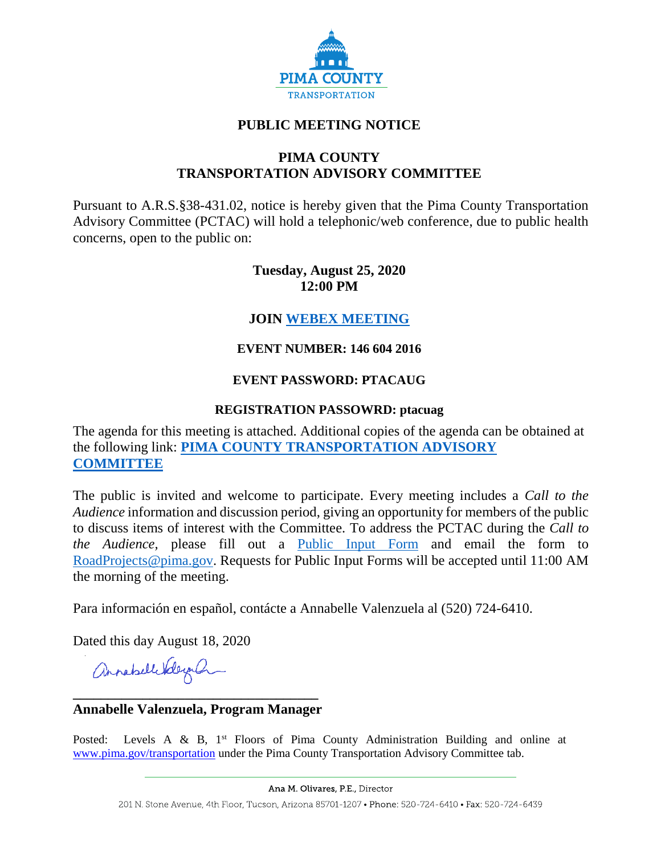

# **PUBLIC MEETING NOTICE**

### **PIMA COUNTY TRANSPORTATION ADVISORY COMMITTEE**

Pursuant to A.R.S.§38-431.02, notice is hereby given that the Pima County Transportation Advisory Committee (PCTAC) will hold a telephonic/web conference, due to public health concerns, open to the public on:

# **Tuesday, August 25, 2020 12:00 PM**

# **JOIN [WEBEX MEETING](https://pimacounty.webex.com/mw3300/mywebex/default.do?siteurl=pimacounty&service=6)**

### **EVENT NUMBER: 146 604 2016**

### **EVENT PASSWORD: PTACAUG**

#### **REGISTRATION PASSOWRD: ptacuag**

The agenda for this meeting is attached. Additional copies of the agenda can be obtained at the following link: **[PIMA COUNTY TRANSPORTATION ADVISORY](https://webcms.pima.gov/cms/One.aspx?portalId=169&pageId=355530)  [COMMITTEE](https://webcms.pima.gov/cms/One.aspx?portalId=169&pageId=355530)**

The public is invited and welcome to participate. Every meeting includes a *Call to the Audience* information and discussion period, giving an opportunity for members of the public to discuss items of interest with the Committee. To address the PCTAC during the *Call to the Audience,* please fill out a [Public Input Form](https://webcms.pima.gov/UserFiles/Servers/Server_6/File/Government/Transportation/TransportationAdvisoryCommittee/PCTAC%20Public%20Input%20Form%20200728.pdf) and email the form to [RoadProjects@pima.gov.](mailto:RoadProjects@pima.gov) Requests for Public Input Forms will be accepted until 11:00 AM the morning of the meeting.

Para información en español, contácte a Annabelle Valenzuela al (520) 724-6410.

Dated this day August 18, 2020

annabellitelegal

### **\_\_\_\_\_\_\_\_\_\_\_\_\_\_\_\_\_\_\_\_\_\_\_\_\_\_\_\_\_\_\_\_\_\_\_ Annabelle Valenzuela, Program Manager**

Posted: Levels A & B,  $1<sup>st</sup>$  Floors of Pima County Administration Building and online at [www.pima.gov/transportation](http://www.pima.gov/transportation) under the Pima County Transportation Advisory Committee tab.